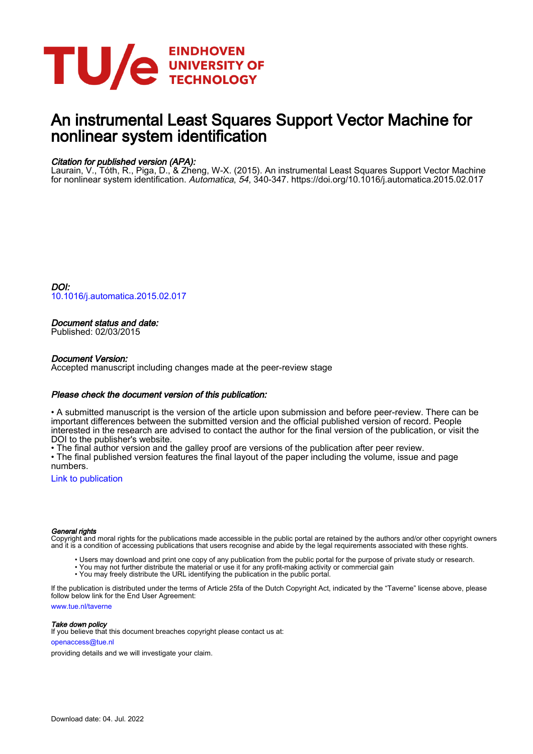

# An instrumental Least Squares Support Vector Machine for nonlinear system identification

# Citation for published version (APA):

Laurain, V., Tóth, R., Piga, D., & Zheng, W-X. (2015). An instrumental Least Squares Support Vector Machine for nonlinear system identification. Automatica, 54, 340-347.<https://doi.org/10.1016/j.automatica.2015.02.017>

DOI: [10.1016/j.automatica.2015.02.017](https://doi.org/10.1016/j.automatica.2015.02.017)

## Document status and date:

Published: 02/03/2015

### Document Version:

Accepted manuscript including changes made at the peer-review stage

### Please check the document version of this publication:

• A submitted manuscript is the version of the article upon submission and before peer-review. There can be important differences between the submitted version and the official published version of record. People interested in the research are advised to contact the author for the final version of the publication, or visit the DOI to the publisher's website.

• The final author version and the galley proof are versions of the publication after peer review.

• The final published version features the final layout of the paper including the volume, issue and page numbers.

[Link to publication](https://research.tue.nl/en/publications/5f2c0ce5-e904-4472-ace5-be2a21fc2c0d)

#### General rights

Copyright and moral rights for the publications made accessible in the public portal are retained by the authors and/or other copyright owners and it is a condition of accessing publications that users recognise and abide by the legal requirements associated with these rights.

- Users may download and print one copy of any publication from the public portal for the purpose of private study or research.
- You may not further distribute the material or use it for any profit-making activity or commercial gain
- You may freely distribute the URL identifying the publication in the public portal.

If the publication is distributed under the terms of Article 25fa of the Dutch Copyright Act, indicated by the "Taverne" license above, please follow below link for the End User Agreement:

www.tue.nl/taverne

**Take down policy**<br>If you believe that this document breaches copyright please contact us at:

openaccess@tue.nl

providing details and we will investigate your claim.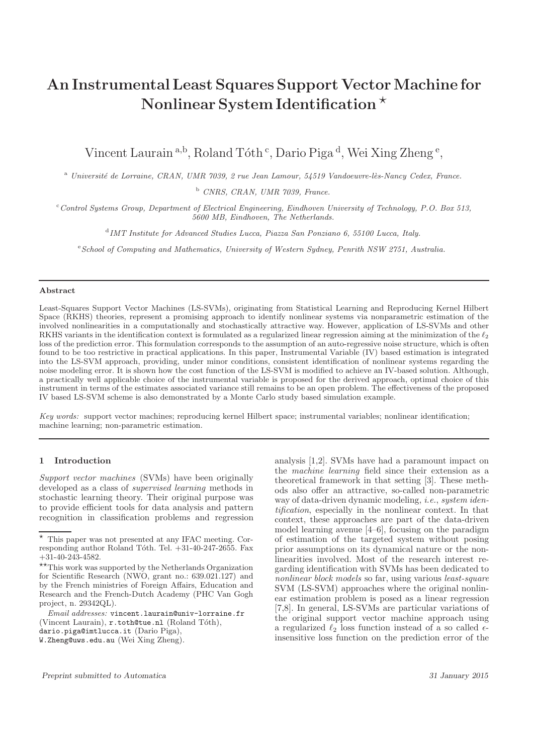# An Instrumental Least Squares Support Vector Machine for Nonlinear System Identification  $\star$

Vincent Laurain<sup>a,b</sup>, Roland Tóth<sup>c</sup>, Dario Piga<sup>d</sup>, Wei Xing Zheng<sup>e</sup>,

<sup>a</sup> *Université de Lorraine, CRAN, UMR 7039, 2 rue Jean Lamour, 54519 Vandoeuvre-lès-Nancy Cedex, France.* 

<sup>b</sup> *CNRS, CRAN, UMR 7039, France.*

<sup>c</sup>*Control Systems Group, Department of Electrical Engineering, Eindhoven University of Technology, P.O. Box 513, 5600 MB, Eindhoven, The Netherlands.*

d *IMT Institute for Advanced Studies Lucca, Piazza San Ponziano 6, 55100 Lucca, Italy.*

<sup>e</sup>*School of Computing and Mathematics, University of Western Sydney, Penrith NSW 2751, Australia.*

#### Abstract

Least-Squares Support Vector Machines (LS-SVMs), originating from Statistical Learning and Reproducing Kernel Hilbert Space (RKHS) theories, represent a promising approach to identify nonlinear systems via nonparametric estimation of the involved nonlinearities in a computationally and stochastically attractive way. However, application of LS-SVMs and other RKHS variants in the identification context is formulated as a regularized linear regression aiming at the minimization of the  $\ell_2$ loss of the prediction error. This formulation corresponds to the assumption of an auto-regressive noise structure, which is often found to be too restrictive in practical applications. In this paper, Instrumental Variable (IV) based estimation is integrated into the LS-SVM approach, providing, under minor conditions, consistent identification of nonlinear systems regarding the noise modeling error. It is shown how the cost function of the LS-SVM is modified to achieve an IV-based solution. Although, a practically well applicable choice of the instrumental variable is proposed for the derived approach, optimal choice of this instrument in terms of the estimates associated variance still remains to be an open problem. The effectiveness of the proposed IV based LS-SVM scheme is also demonstrated by a Monte Carlo study based simulation example.

*Key words:* support vector machines; reproducing kernel Hilbert space; instrumental variables; nonlinear identification; machine learning; non-parametric estimation.

#### 1 Introduction

*Support vector machines* (SVMs) have been originally developed as a class of *supervised learning* methods in stochastic learning theory. Their original purpose was to provide efficient tools for data analysis and pattern recognition in classification problems and regression

*Email addresses:* vincent.laurain@univ-lorraine.fr (Vincent Laurain), r.toth@tue.nl (Roland Tóth), dario.piga@imtlucca.it (Dario Piga), W.Zheng@uws.edu.au (Wei Xing Zheng).

analysis [1,2]. SVMs have had a paramount impact on the *machine learning* field since their extension as a theoretical framework in that setting [3]. These methods also offer an attractive, so-called non-parametric way of data-driven dynamic modeling, *i.e.*, *system identification*, especially in the nonlinear context. In that context, these approaches are part of the data-driven model learning avenue [4–6], focusing on the paradigm of estimation of the targeted system without posing prior assumptions on its dynamical nature or the nonlinearities involved. Most of the research interest regarding identification with SVMs has been dedicated to *nonlinear block models* so far, using various *least-square* SVM (LS-SVM) approaches where the original nonlinear estimation problem is posed as a linear regression [7,8]. In general, LS-SVMs are particular variations of the original support vector machine approach using a regularized  $\ell_2$  loss function instead of a so called  $\epsilon$ insensitive loss function on the prediction error of the

 $\overline{\star}$  This paper was not presented at any IFAC meeting. Corresponding author Roland Tóth. Tel.  $+31-40-247-2655$ . Fax +31-40-243-4582.

 $\star\star_{\rm This}$  work was supported by the Netherlands Organization for Scientific Research (NWO, grant no.: 639.021.127) and by the French ministries of Foreign Affairs, Education and Research and the French-Dutch Academy (PHC Van Gogh project, n. 29342QL).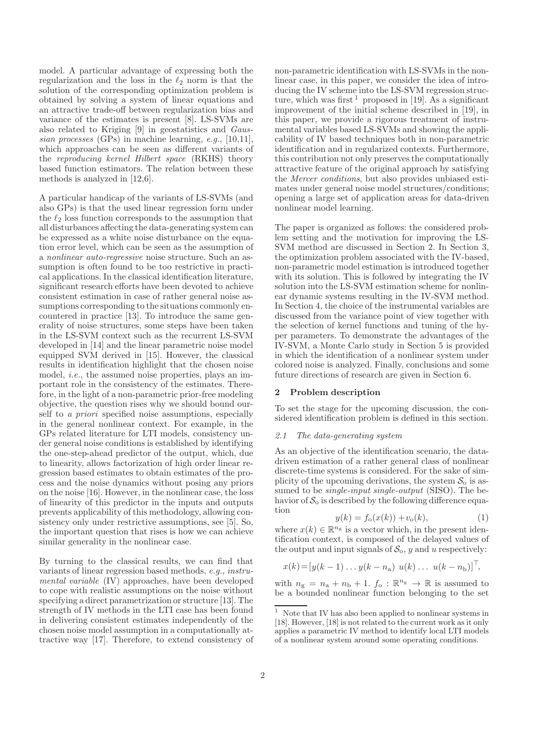model. A particular advantage of expressing both the regularization and the loss in the  $\ell_2$  norm is that the solution of the corresponding optimization problem is obtained by solving a system of linear equations and an attractive trade-off between regularization bias and variance of the estimates is present [8]. LS-SVMs are also related to Kriging [9] in geostatistics and *Gaussian processes* (GPs) in machine learning, *e.g.*, [10,11], which approaches can be seen as different variants of the *reproducing kernel Hilbert space* (RKHS) theory based function estimators. The relation between these methods is analyzed in [12,6].

A particular handicap of the variants of LS-SVMs (and also GPs) is that the used linear regression form under the  $\ell_2$  loss function corresponds to the assumption that all disturbances affecting the data-generating system can be expressed as a white noise disturbance on the equation error level, which can be seen as the assumption of a *nonlinear auto-regressive* noise structure. Such an assumption is often found to be too restrictive in practical applications. In the classical identification literature, significant research efforts have been devoted to achieve consistent estimation in case of rather general noise assumptions corresponding to the situations commonly encountered in practice [13]. To introduce the same generality of noise structures, some steps have been taken in the LS-SVM context such as the recurrent LS-SVM developed in [14] and the linear parametric noise model equipped SVM derived in [15]. However, the classical results in identification highlight that the chosen noise model, *i.e.*, the assumed noise properties, plays an important role in the consistency of the estimates. Therefore, in the light of a non-parametric prior-free modeling objective, the question rises why we should bound ourself to *a priori* specified noise assumptions, especially in the general nonlinear context. For example, in the GPs related literature for LTI models, consistency under general noise conditions is established by identifying the one-step-ahead predictor of the output, which, due to linearity, allows factorization of high order linear regression based estimates to obtain estimates of the process and the noise dynamics without posing any priors on the noise [16]. However, in the nonlinear case, the loss of linearity of this predictor in the inputs and outputs prevents applicability of this methodology, allowing consistency only under restrictive assumptions, see [5]. So, the important question that rises is how we can achieve similar generality in the nonlinear case.

By turning to the classical results, we can find that variants of linear regression based methods, *e.g.*, *instrumental variable* (IV) approaches, have been developed to cope with realistic assumptions on the noise without specifying a direct parametrization or structure [13]. The strength of IV methods in the LTI case has been found in delivering consistent estimates independently of the chosen noise model assumption in a computationally attractive way [17]. Therefore, to extend consistency of

non-parametric identification with LS-SVMs in the nonlinear case, in this paper, we consider the idea of introducing the IV scheme into the LS-SVM regression structure, which was first  $\frac{1}{1}$  proposed in [19]. As a significant improvement of the initial scheme described in [19], in this paper, we provide a rigorous treatment of instrumental variables based LS-SVMs and showing the applicability of IV based techniques both in non-parametric identification and in regularized contexts. Furthermore, this contribution not only preserves the computationally attractive feature of the original approach by satisfying the *Mercer conditions*, but also provides unbiased estimates under general noise model structures/conditions; opening a large set of application areas for data-driven nonlinear model learning.

The paper is organized as follows: the considered problem setting and the motivation for improving the LS-SVM method are discussed in Section 2. In Section 3, the optimization problem associated with the IV-based, non-parametric model estimation is introduced together with its solution. This is followed by integrating the IV solution into the LS-SVM estimation scheme for nonlinear dynamic systems resulting in the IV-SVM method. In Section 4, the choice of the instrumental variables are discussed from the variance point of view together with the selection of kernel functions and tuning of the hyper parameters. To demonstrate the advantages of the IV-SVM, a Monte Carlo study in Section 5 is provided in which the identification of a nonlinear system under colored noise is analyzed. Finally, conclusions and some future directions of research are given in Section 6.

#### 2 Problem description

To set the stage for the upcoming discussion, the considered identification problem is defined in this section.

#### *2.1 The data-generating system*

As an objective of the identification scenario, the datadriven estimation of a rather general class of nonlinear discrete-time systems is considered. For the sake of simplicity of the upcoming derivations, the system  $S_0$  is assumed to be *single-input single-output* (SISO). The behavior of  $S_0$  is described by the following difference equation

$$
y(k) = f_o(x(k)) + v_o(k),
$$
 (1)

where  $x(k) \in \mathbb{R}^{n_g}$  is a vector which, in the present identification context, is composed of the delayed values of the output and input signals of  $S_0$ , y and u respectively:

$$
x(k) = [y(k-1)... y(k - na) u(k) ... u(k - nb)]T,
$$

with  $n_{\rm g} = n_{\rm a} + n_{\rm b} + 1$ .  $f_{\rm o} : \mathbb{R}^{n_{\rm g}} \to \mathbb{R}$  is assumed to be a bounded nonlinear function belonging to the set

 $^{\rm 1}~$  Note that IV has also been applied to nonlinear systems in [18]. However, [18] is not related to the current work as it only applies a parametric IV method to identify local LTI models of a nonlinear system around some operating conditions.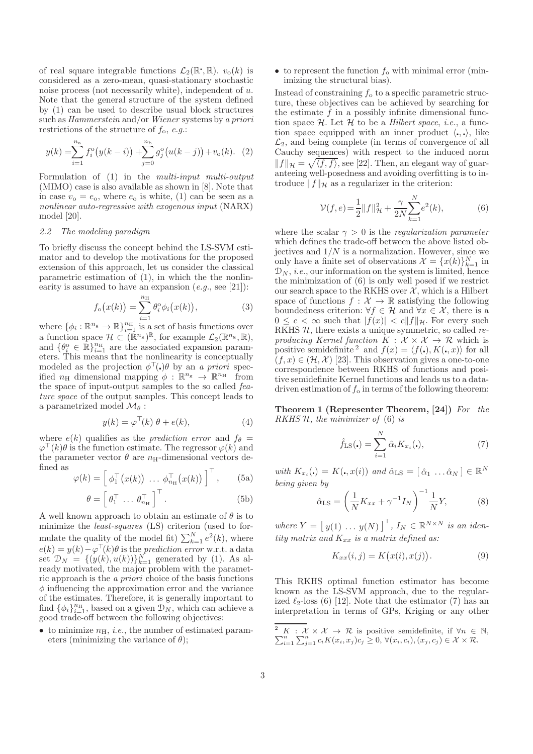of real square integrable functions  $\mathcal{L}_2(\mathbb{R}^*, \mathbb{R})$ .  $v_o(k)$  is considered as a zero-mean, quasi-stationary stochastic noise process (not necessarily white), independent of u. Note that the general structure of the system defined by (1) can be used to describe usual block structures such as *Hammerstein* and/or *Wiener* systems by *a priori* restrictions of the structure of  $f_0$ , *e.g.*:

$$
y(k) = \sum_{i=1}^{n_a} f_i^o(y(k-i)) + \sum_{j=0}^{n_b} g_j^o(u(k-j)) + v_o(k). \tag{2}
$$

Formulation of (1) in the *multi-input multi-output* (MIMO) case is also available as shown in [8]. Note that in case  $v_0 = e_0$ , where  $e_0$  is white, (1) can be seen as a *nonlinear auto-regressive with exogenous input* (NARX) model [20].

# *2.2 The modeling paradigm*

To briefly discuss the concept behind the LS-SVM estimator and to develop the motivations for the proposed extension of this approach, let us consider the classical parametric estimation of (1), in which the the nonlinearity is assumed to have an expansion (*e.g.*, see [21]):

$$
f_{\mathbf{o}}(x(k)) = \sum_{i=1}^{n_{\mathrm{H}}} \theta_i^{\mathbf{o}} \phi_i(x(k)), \qquad (3)
$$

where  $\{\phi_i : \mathbb{R}^{n_g} \to \mathbb{R}\}_{i=1}^{n_H}$  is a set of basis functions over a function space  $\mathcal{H} \subset (\mathbb{R}^{n_g})^{\mathbb{R}}$ , for example  $\mathcal{L}_2(\mathbb{R}^{n_g}, \mathbb{R})$ , and  $\{\theta_i^{\circ} \in \mathbb{R}\}_{i=1}^{n_{\rm H}}$  are the associated expansion parameters. This means that the nonlinearity is conceptually modeled as the projection  $\phi^{\top}(\cdot)\theta$  by an *a priori* specified  $n_H$  dimensional mapping  $\phi : \mathbb{R}^{n_g} \to \mathbb{R}^{n_H}$  from the space of input-output samples to the so called *feature space* of the output samples. This concept leads to a parametrized model  $\mathcal{M}_{\theta}$ :

$$
y(k) = \varphi^{\top}(k) \ \theta + e(k), \tag{4}
$$

where  $e(k)$  qualifies as the *prediction error* and  $f_{\theta}$  =  $\varphi^{\top}(k)\theta$  is the function estimate. The regressor  $\varphi(k)$  and the parameter vector  $\theta$  are  $n_{\text{H}}$ -dimensional vectors defined as

$$
\varphi(k) = \left[\begin{array}{cc} \phi_1^\top(x(k)) & \dots & \phi_{n_\mathrm{H}}^\top(x(k)) \end{array}\right]^\top, \qquad \text{(5a)}
$$

$$
\theta = \left[ \theta_1^\top \dots \theta_{n_{\mathrm{H}}}^\top \right]^\top. \tag{5b}
$$

A well known approach to obtain an estimate of  $\theta$  is to minimize the *least-squares* (LS) criterion (used to formulate the quality of the model fit)  $\sum_{k=1}^{N} e^{2}(k)$ , where  $e(k) = y(k) - \varphi^{\top}(k)\theta$  is the *prediction error* w.r.t. a data set  $\mathcal{D}_N = \{(y(k), u(k))\}_{k=1}^N$  generated by (1). As already motivated, the major problem with the parametric approach is the *a priori* choice of the basis functions  $\phi$  influencing the approximation error and the variance of the estimates. Therefore, it is generally important to find  $\{\phi_i\}_{i=1}^{n_{\rm H}}$ , based on a given  $\mathcal{D}_N$ , which can achieve a good trade-off between the following objectives:

• to minimize  $n_{\rm H}$ , *i.e.*, the number of estimated parameters (minimizing the variance of  $\theta$ );

• to represent the function  $f_0$  with minimal error (minimizing the structural bias).

Instead of constraining  $f_0$  to a specific parametric structure, these objectives can be achieved by searching for the estimate  $f$  in a possibly infinite dimensional function space H. Let H to be a *Hilbert space*, *i.e.*, a function space equipped with an inner product  $\langle \cdot, \cdot \rangle$ , like  $\mathcal{L}_2$ , and being complete (in terms of convergence of all Cauchy sequences) with respect to the induced norm  $||f||_{\mathcal{H}} = \sqrt{\langle f, f \rangle}$ , see [22]. Then, an elegant way of guaranteeing well-posedness and avoiding overfitting is to introduce  $||f||_{\mathcal{H}}$  as a regularizer in the criterion:

$$
\mathcal{V}(f,e) = \frac{1}{2} ||f||_{\mathcal{H}}^2 + \frac{\gamma}{2N} \sum_{k=1}^N e^2(k),\tag{6}
$$

where the scalar  $\gamma > 0$  is the *regularization parameter* which defines the trade-off between the above listed objectives and  $1/N$  is a normalization. However, since we only have a finite set of observations  $\mathcal{X} = \{x(k)\}_{k=1}^N$  in  $\mathcal{D}_N$ , *i.e.*, our information on the system is limited, hence the minimization of (6) is only well posed if we restrict our search space to the RKHS over  $X$ , which is a Hilbert space of functions  $f: \mathcal{X} \to \mathbb{R}$  satisfying the following boundedness criterion:  $\forall f \in \mathcal{H}$  and  $\forall x \in \mathcal{X}$ , there is a  $0 \leq c < \infty$  such that  $|f(x)| < c \|f\|_{\mathcal{H}}$ . For every such RKHS H, there exists a unique symmetric, so called *reproducing Kernel function*  $K : \mathcal{X} \times \mathcal{X} \rightarrow \mathcal{R}$  which is positive semidefinite <sup>2</sup> and  $f(x) = \langle f(x), K(x, x) \rangle$  for all  $(f, x) \in (\mathcal{H}, \mathcal{X})$  [23]. This observation gives a one-to-one correspondence between RKHS of functions and positive semidefinite Kernel functions and leads us to a datadriven estimation of  $f_0$  in terms of the following theorem:

Theorem 1 (Representer Theorem, [24]) *For the RKHS* H*, the minimizer of* (6) *is*

$$
\hat{f}_{\text{LS}}(\mathbf{.}) = \sum_{i=1}^{N} \hat{\alpha}_i K_{x_i}(\mathbf{.}),\tag{7}
$$

*with*  $K_{x_i}(\cdot) = K(\cdot, x(i))$  *and*  $\hat{\alpha}_{\text{LS}} = [\hat{\alpha}_1 \dots \hat{\alpha}_N] \in \mathbb{R}^N$ *being given by*

$$
\hat{\alpha}_{\text{LS}} = \left(\frac{1}{N}K_{xx} + \gamma^{-1}I_N\right)^{-1}\frac{1}{N}Y,\tag{8}
$$

 $where Y = [y(1) \dots y(N)]^{\top}, I_N \in \mathbb{R}^{N \times N}$  *is an identity matrix and*  $K_{xx}$  *is a matrix defined as:* 

$$
K_{xx}(i,j) = K(x(i), x(j)).
$$
\n(9)

This RKHS optimal function estimator has become known as the LS-SVM approach, due to the regularized  $\ell_2$ -loss (6) [12]. Note that the estimator (7) has an interpretation in terms of GPs, Kriging or any other

 $\sum$ <sup>2</sup> K :  $\mathcal{X} \times \mathcal{X} \to \mathcal{R}$  is positive semidefinite, if  $\forall n \in \mathbb{N}$ ,<br>  $\sum_{i=1}^{n} \sum_{j=1}^{n} c_i K(x_i, x_j) c_j \geq 0$ ,  $\forall (x_i, c_i), (x_j, c_j) \in \mathcal{X} \times \mathcal{R}$ .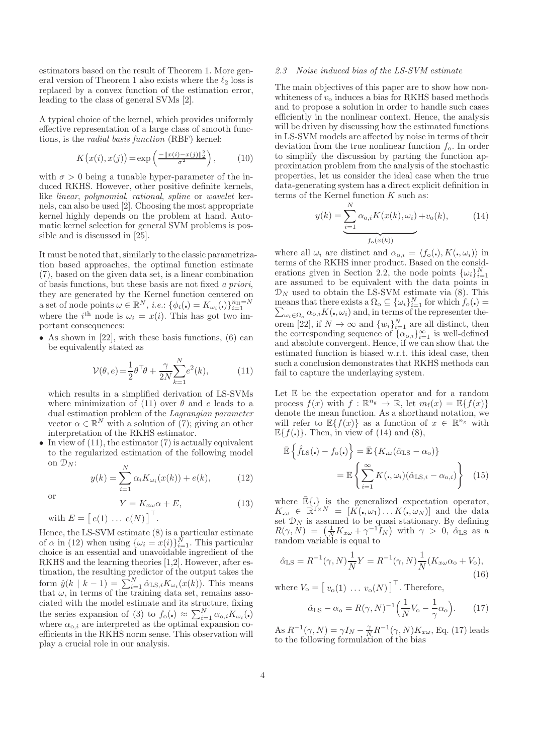estimators based on the result of Theorem 1. More general version of Theorem 1 also exists where the  $\ell_2$  loss is replaced by a convex function of the estimation error, leading to the class of general SVMs [2].

A typical choice of the kernel, which provides uniformly effective representation of a large class of smooth functions, is the *radial basis function* (RBF) kernel:

$$
K(x(i), x(j)) = \exp\left(\frac{-\|x(i) - x(j)\|_2^2}{\sigma^2}\right),\tag{10}
$$

with  $\sigma > 0$  being a tunable hyper-parameter of the induced RKHS. However, other positive definite kernels, like *linear*, *polynomial*, *rational*, *spline* or *wavelet* kernels, can also be used [2]. Choosing the most appropriate kernel highly depends on the problem at hand. Automatic kernel selection for general SVM problems is possible and is discussed in [25].

It must be noted that, similarly to the classic parametrization based approaches, the optimal function estimate (7), based on the given data set, is a linear combination of basis functions, but these basis are not fixed *a priori*, they are generated by the Kernel function centered on a set of node points  $\omega \in \mathbb{R}^N$ , *i.e.*:  $\{\phi_i(\cdot) = K_{\omega_i}(\cdot)\}_{i=1}^{n_{\text{H}}=N}$ <br>where the *i*<sup>th</sup> node is  $\omega_i = x(i)$ . This has got two important consequences:

• As shown in  $[22]$ , with these basis functions,  $(6)$  can be equivalently stated as

$$
\mathcal{V}(\theta, e) = \frac{1}{2}\theta^{\top}\theta + \frac{\gamma}{2N} \sum_{k=1}^{N} e^2(k), \quad (11)
$$

which results in a simplified derivation of LS-SVMs where minimization of (11) over  $\theta$  and e leads to a dual estimation problem of the *Lagrangian parameter* vector  $\alpha \in \mathbb{R}^N$  with a solution of (7); giving an other interpretation of the RKHS estimator.

• In view of  $(11)$ , the estimator  $(7)$  is actually equivalent to the regularized estimation of the following model on  $\mathcal{D}_N$ :

$$
y(k) = \sum_{i=1}^{N} \alpha_i K_{\omega_i}(x(k)) + e(k),
$$
 (12)

or

 $Y = K_{x\omega}\alpha + E,$  (13) with  $E = [e(1) \dots e(N)]^{\top}$ .

Hence, the LS-SVM estimate (8) is a particular estimate of  $\alpha$  in (12) when using  $\{\omega_i = x(i)\}_{i=1}^N$ . This particular choice is an essential and unavoidable ingredient of the RKHS and the learning theories [1,2]. However, after estimation, the resulting predictor of the output takes the form  $\hat{y}(k \mid k-1) = \sum_{i=1}^{N} \hat{\alpha}_{\text{LS},i} K_{\omega_i}(x(k)).$  This means that  $\omega$ , in terms of the training data set, remains associated with the model estimate and its structure, fixing the series expansion of (3) to  $f_{\text{o}}(\cdot) \approx \sum_{i=1}^{N} \alpha_{\text{o},i} K_{\omega_i}(\cdot)$ where  $\alpha_{0,i}$  are interpreted as the optimal expansion coefficients in the RKHS norm sense. This observation will play a crucial role in our analysis.

#### *2.3 Noise induced bias of the LS-SVM estimate*

The main objectives of this paper are to show how nonwhiteness of  $v_0$  induces a bias for RKHS based methods and to propose a solution in order to handle such cases efficiently in the nonlinear context. Hence, the analysis will be driven by discussing how the estimated functions in LS-SVM models are affected by noise in terms of their deviation from the true nonlinear function  $f_0$ . In order to simplify the discussion by parting the function approximation problem from the analysis of the stochastic properties, let us consider the ideal case when the true data-generating system has a direct explicit definition in terms of the Kernel function  $K$  such as:

$$
y(k) = \underbrace{\sum_{i=1}^{N} \alpha_{o,i} K(x(k), \omega_i)}_{f_o(x(k))} + v_o(k),
$$
 (14)

where all  $\omega_i$  are distinct and  $\alpha_{0,i} = \langle f_o(\cdot), K(\cdot, \omega_i) \rangle$  in terms of the RKHS inner product. Based on the considerations given in Section 2.2, the node points  $\{\omega_i\}_{i=1}^N$ are assumed to be equivalent with the data points in  $\mathcal{D}_N$  used to obtain the LS-SVM estimate via (8). This means that there exists a  $\Omega_o \subseteq {\{\omega_i\}}_{i=1}^N$  for which  $f_o(\cdot)$  =  $\sum_{\omega_i \in \Omega_o} \alpha_{o,i} K(\cdot, \omega_i)$  and, in terms of the representer theorem [22], if  $N \to \infty$  and  $\{w_i\}_{i=1}^N$  are all distinct, then the corresponding sequence of  $\{\alpha_{o,i}\}_{i=1}^{\infty}$  is well-defined and absolute convergent. Hence, if we can show that the estimated function is biased w.r.t. this ideal case, then such a conclusion demonstrates that RKHS methods can fail to capture the underlaying system.

Let  $E$  be the expectation operator and for a random process  $f(x)$  with  $f : \mathbb{R}^{n_g} \to \mathbb{R}$ , let  $m_f(x) = \mathbb{E}{f(x)}$ denote the mean function. As a shorthand notation, we will refer to  $\mathbb{E}\{f(x)\}\$ as a function of  $x \in \mathbb{R}^{n_g}$  with  $\mathbb{E}\{f(\cdot)\}\$ . Then, in view of (14) and (8),

$$
\begin{aligned} \mathbb{E}\left\{\hat{f}_{\text{LS}}(\centerdot) - f_{\text{o}}(\centerdot)\right\} &= \mathbb{E}\left\{K_{\centerdot\omega}(\hat{\alpha}_{\text{LS}} - \alpha_{\text{o}})\right\} \\ &= \mathbb{E}\left\{\sum_{i=1}^{\infty} K(\centerdot, \omega_i)(\hat{\alpha}_{\text{LS},i} - \alpha_{\text{o},i})\right\} \end{aligned} \tag{15}
$$

where  $\mathbb{E}\{\cdot\}$  is the generalized expectation operator,  $K_{,\omega} \in \mathbb{R}^{1 \times N} = [K(\mathbf{I}, \omega_1) \dots K(\mathbf{I}, \omega_N)]$  and the data set  $\mathcal{D}_N$  is assumed to be quasi stationary. By defining  $R(\gamma, N) = \left(\frac{1}{N}K_{x\omega} + \gamma^{-1}I_N\right)$  with  $\gamma > 0$ ,  $\hat{\alpha}_{LS}$  as a random variable is equal to

$$
\hat{\alpha}_{\rm LS} = R^{-1}(\gamma, N) \frac{1}{N} Y = R^{-1}(\gamma, N) \frac{1}{N} (K_{x\omega} \alpha_{\rm o} + V_{\rm o}),\tag{16}
$$

where  $V_o = [v_o(1) \dots v_o(N)]^{\top}$ . Therefore,

$$
\hat{\alpha}_{\rm LS} - \alpha_{\rm o} = R(\gamma, N)^{-1} \Big(\frac{1}{N} V_{\rm o} - \frac{1}{\gamma} \alpha_{\rm o}\Big). \tag{17}
$$

As  $R^{-1}(\gamma, N) = \gamma I_N - \frac{\gamma}{N} R^{-1}(\gamma, N) K_{x\omega}$ , Eq. (17) leads to the following formulation of the bias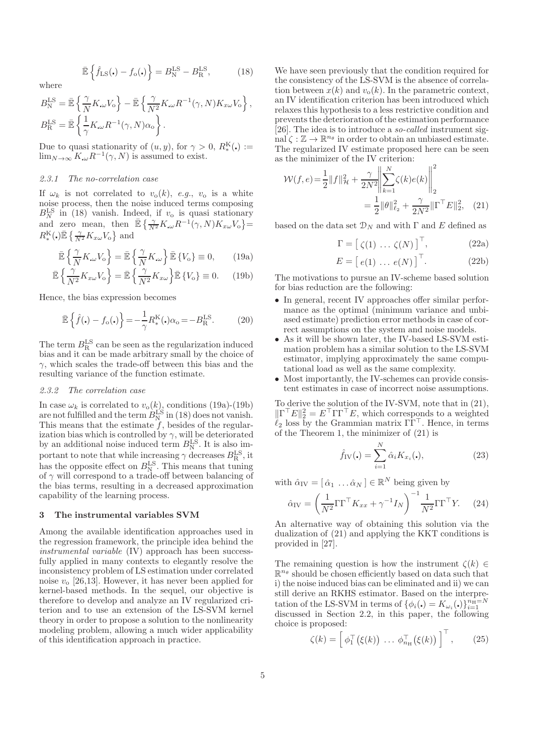$$
\bar{\mathbb{E}}\left\{\hat{f}_{\rm LS}(\centerdot) - f_{\rm o}(\centerdot)\right\} = B_{\rm N}^{\rm LS} - B_{\rm R}^{\rm LS},\tag{18}
$$

$$
\begin{split} B_{\rm N}^{\rm LS} &= \bar{\mathbb{E}}\left\{\frac{\gamma}{N}K_{\cdot\omega}V_{\rm o}\right\} - \bar{\mathbb{E}}\left\{\frac{\gamma}{N^2}K_{\cdot\omega}R^{-1}(\gamma,N)K_{x\omega}V_{\rm o}\right\},\\ B_{\rm R}^{\rm LS} &= \bar{\mathbb{E}}\left\{\frac{1}{\gamma}K_{\cdot\omega}R^{-1}(\gamma,N)\alpha_{\rm o}\right\}. \end{split}
$$

Due to quasi stationarity of  $(u, y)$ , for  $\gamma > 0$ ,  $R_*^{\mathcal{K}}(\cdot) :=$  $\lim_{N\to\infty} K_{\omega} R^{-1}(\gamma, N)$  is assumed to exist.

#### *2.3.1 The no-correlation case*

where

If  $\omega_k$  is not correlated to  $v_o(k)$ , *e.g.*,  $v_o$  is a white noise process, then the noise induced terms composing  $B_N^{\text{LS}}$  in (18) vanish. Indeed, if  $v_0$  is quasi stationary and zero mean, then  $\mathbb{E}\left\{\frac{\gamma}{N^2}K_{\omega}R^{-1}(\gamma,N)K_{x\omega}V_0\right\}$  $R_{*}^{\mathrm{K}}(\mathbf{.})\bar{\mathbb{E}}\left\{\frac{\gamma}{N^{2}}K_{x\omega}V_{\mathrm{o}}\right\}$  and

$$
\bar{\mathbb{E}}\left\{\frac{\gamma}{N}K_{\cdot\omega}V_{\cdot\omega}\right\} = \bar{\mathbb{E}}\left\{\frac{\gamma}{N}K_{\cdot\omega}\right\}\bar{\mathbb{E}}\left\{V_{\cdot\omega}\right\} \equiv 0, \qquad (19a)
$$

$$
\bar{\mathbb{E}}\left\{\frac{\gamma}{N^2}K_{x\omega}V_o\right\} = \bar{\mathbb{E}}\left\{\frac{\gamma}{N^2}K_{x\omega}\right\}\bar{\mathbb{E}}\left\{V_o\right\} \equiv 0. \quad (19b)
$$

Hence, the bias expression becomes

$$
\bar{\mathbb{E}}\left\{\hat{f}(\mathbf{.}) - f_o(\mathbf{.})\right\} = -\frac{1}{\gamma} R_*^{\mathcal{K}}(\mathbf{.}) \alpha_o = -B_{\mathcal{R}}^{\mathcal{LS}}.\tag{20}
$$

The term  $B_R^{\text{LS}}$  can be seen as the regularization induced bias and it can be made arbitrary small by the choice of  $\gamma$ , which scales the trade-off between this bias and the resulting variance of the function estimate.

#### *2.3.2 The correlation case*

In case  $\omega_k$  is correlated to  $v_o(k)$ , conditions (19a)-(19b) are not fulfilled and the term  $B_{\text{N}}^{\text{LS}}$  in (18) does not vanish. This means that the estimate  $f$ , besides of the regularization bias which is controlled by  $\gamma$ , will be deteriorated by an additional noise induced term  $B_{\text{N}}^{\text{LS}}$ . It is also important to note that while increasing  $\gamma$  decreases  $B_R^{\text{LS}}$ , it has the opposite effect on  $B_{\text{N}}^{\text{LS}}$ . This means that tuning of  $\gamma$  will correspond to a trade-off between balancing of the bias terms, resulting in a decreased approximation capability of the learning process.

#### 3 The instrumental variables SVM

Among the available identification approaches used in the regression framework, the principle idea behind the *instrumental variable* (IV) approach has been successfully applied in many contexts to elegantly resolve the inconsistency problem of LS estimation under correlated noise  $v<sub>o</sub>$  [26,13]. However, it has never been applied for kernel-based methods. In the sequel, our objective is therefore to develop and analyze an IV regularized criterion and to use an extension of the LS-SVM kernel theory in order to propose a solution to the nonlinearity modeling problem, allowing a much wider applicability of this identification approach in practice.

We have seen previously that the condition required for the consistency of the LS-SVM is the absence of correlation between  $x(k)$  and  $v<sub>o</sub>(k)$ . In the parametric context, an IV identification criterion has been introduced which relaxes this hypothesis to a less restrictive condition and prevents the deterioration of the estimation performance [26]. The idea is to introduce a *so-called* instrument sig- $\text{ind } \zeta : \mathbb{Z} \to \mathbb{R}^{n_{\theta}}$  in order to obtain an unbiased estimate. The regularized IV estimate proposed here can be seen as the minimizer of the IV criterion:

$$
\mathcal{W}(f, e) = \frac{1}{2} ||f||_{\mathcal{H}}^2 + \frac{\gamma}{2N^2} \left\| \sum_{k=1}^N \zeta(k) e(k) \right\|_2^2
$$
  
= 
$$
\frac{1}{2} ||\theta||_{\ell_2}^2 + \frac{\gamma}{2N^2} ||\Gamma^\top E||_2^2, \quad (21)
$$

based on the data set  $\mathcal{D}_N$  and with  $\Gamma$  and E defined as

$$
\Gamma = \left[ \zeta(1) \dots \zeta(N) \right]^{\top}, \tag{22a}
$$

$$
E = [e(1) \dots e(N)]^{\top}.
$$
 (22b)

The motivations to pursue an IV-scheme based solution for bias reduction are the following:

- In general, recent IV approaches offer similar performance as the optimal (minimum variance and unbiased estimate) prediction error methods in case of correct assumptions on the system and noise models.
- As it will be shown later, the IV-based LS-SVM estimation problem has a similar solution to the LS-SVM estimator, implying approximately the same computational load as well as the same complexity.
- Most importantly, the IV-schemes can provide consistent estimates in case of incorrect noise assumptions.

To derive the solution of the IV-SVM, note that in (21),  $\|\Gamma^{\top}E\|_2^2 = E^{\top}\Gamma\Gamma^{\top}E$ , which corresponds to a weighted  $\ell_2$  loss by the Grammian matrix  $\Gamma \Gamma^{\top}$ . Hence, in terms of the Theorem 1, the minimizer of (21) is

$$
\hat{f}_{\rm IV}(\centerdot) = \sum_{i=1}^{N} \hat{\alpha}_i K_{x_i}(\centerdot), \tag{23}
$$

with  $\hat{\alpha}_{IV} = [\hat{\alpha}_1 \dots \hat{\alpha}_N] \in \mathbb{R}^N$  being given by

$$
\hat{\alpha}_{\text{IV}} = \left(\frac{1}{N^2} \Gamma \Gamma^{\top} K_{xx} + \gamma^{-1} I_N\right)^{-1} \frac{1}{N^2} \Gamma \Gamma^{\top} Y. \tag{24}
$$

An alternative way of obtaining this solution via the dualization of (21) and applying the KKT conditions is provided in [27].

The remaining question is how the instrument  $\zeta(k) \in$  $\mathbb{R}^{n_{\theta}}$  should be chosen efficiently based on data such that i) the noise induced bias can be eliminated and ii) we can still derive an RKHS estimator. Based on the interpretation of the LS-SVM in terms of  $\{\phi_i(\centerdot) = K_{\omega_i}(\centerdot)\}_{i=1}^{n_{\rm H}=N}$ discussed in Section 2.2, in this paper, the following choice is proposed:

$$
\zeta(k) = \left[\phi_1^\top(\xi(k)) \ \dots \ \phi_{n_{\mathrm{H}}}^\top(\xi(k))\right]^\top, \qquad (25)
$$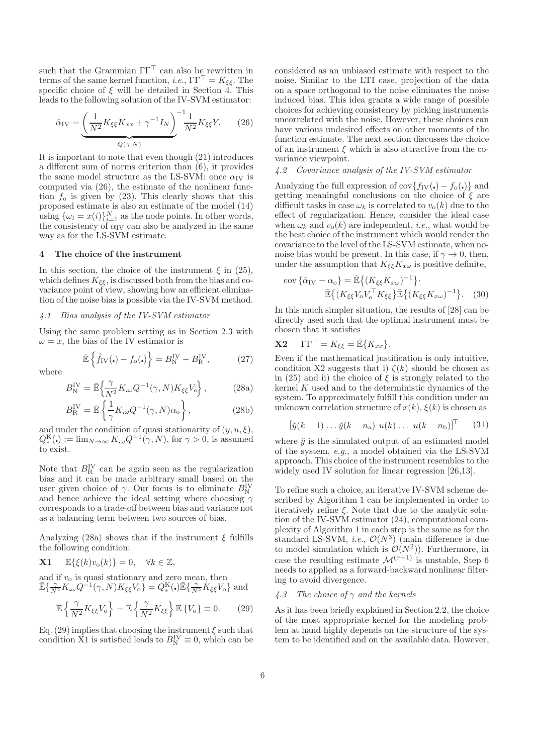such that the Grammian  $\Gamma\Gamma^{\top}$  can also be rewritten in terms of the same kernel function, *i.e.*,  $\Gamma \Gamma^{\top} = K_{\xi \xi}$ . The specific choice of  $\xi$  will be detailed in Section 4. This leads to the following solution of the IV-SVM estimator:

$$
\hat{\alpha}_{\text{IV}} = \underbrace{\left(\frac{1}{N^2} K_{\xi\xi} K_{xx} + \gamma^{-1} I_N\right)}_{Q(\gamma, N)} \underbrace{\frac{1}{N^2} K_{\xi\xi} Y.} \tag{26}
$$

It is important to note that even though (21) introduces a different sum of norms criterion than (6), it provides the same model structure as the LS-SVM: once  $\alpha_{\text{IV}}$  is computed via (26), the estimate of the nonlinear function  $f_0$  is given by (23). This clearly shows that this proposed estimate is also an estimate of the model (14) using  $\{\omega_i = x(i)\}_{i=1}^N$  as the node points. In other words, the consistency of  $\alpha_{\rm IV}$  can also be analyzed in the same way as for the LS-SVM estimate.

#### 4 The choice of the instrument

In this section, the choice of the instrument  $\xi$  in (25), which defines  $K_{\xi\xi}$ , is discussed both from the bias and covariance point of view, showing how an efficient elimination of the noise bias is possible via the IV-SVM method.

### *4.1 Bias analysis of the IV-SVM estimator*

Using the same problem setting as in Section 2.3 with  $\omega = x$ , the bias of the IV estimator is

$$
\bar{\mathbb{E}}\left\{\hat{f}_{\rm IV}(\centerdot) - f_{\rm o}(\centerdot)\right\} = B_{\rm N}^{\rm IV} - B_{\rm R}^{\rm IV},\tag{27}
$$

where

$$
B_N^{\text{IV}} = \bar{\mathbb{E}} \left\{ \frac{\gamma}{N^2} K_{\omega} Q^{-1}(\gamma, N) K_{\xi\xi} V_0 \right\},\tag{28a}
$$

$$
B_{\rm R}^{\rm IV} = \bar{\mathbb{E}} \left\{ \frac{1}{\gamma} K_{\omega} Q^{-1}(\gamma, N) \alpha_{\rm o} \right\},\tag{28b}
$$

and under the condition of quasi stationarity of  $(y, u, \xi)$ ,  $Q_*^{\mathcal{K}}(\cdot) := \lim_{N \to \infty} K_{\cdot} Q^{-1}(\gamma, N),$  for  $\gamma > 0$ , is assumed to exist.

Note that  $B_R^{\text{IV}}$  can be again seen as the regularization bias and it can be made arbitrary small based on the user given choice of  $\gamma$ . Our focus is to eliminate  $B_N^{\text{IV}}$ and hence achieve the ideal setting where choosing  $\gamma$ corresponds to a trade-off between bias and variance not as a balancing term between two sources of bias.

Analyzing (28a) shows that if the instrument  $\xi$  fulfills the following condition:

**X1** 
$$
\mathbb{E}\{\xi(k)v_{o}(k)\}=0, \quad \forall k\in\mathbb{Z},
$$

and if  $v<sub>o</sub>$  is quasi stationary and zero mean, then  $\mathbb{\bar{E}}\{\frac{\gamma}{N^2}K_{\omega}Q^{-1}(\gamma,N)K_{\xi\xi}V_{o}\} = Q_{*}^{K}(\cdot)\mathbb{\bar{E}}\{\frac{\gamma}{N^2}K_{\xi\xi}V_{o}\}$  and

$$
\bar{\mathbb{E}}\left\{\frac{\gamma}{N^2}K_{\xi\xi}V_o\right\} = \bar{\mathbb{E}}\left\{\frac{\gamma}{N^2}K_{\xi\xi}\right\}\bar{\mathbb{E}}\left\{V_o\right\} \equiv 0. \tag{29}
$$

Eq. (29) implies that choosing the instrument  $\xi$  such that condition X1 is satisfied leads to  $B_N^{\text{IV}} \equiv 0$ , which can be considered as an unbiased estimate with respect to the noise. Similar to the LTI case, projection of the data on a space orthogonal to the noise eliminates the noise induced bias. This idea grants a wide range of possible choices for achieving consistency by picking instruments uncorrelated with the noise. However, these choices can have various undesired effects on other moments of the function estimate. The next section discusses the choice of an instrument  $\xi$  which is also attractive from the covariance viewpoint.

#### *4.2 Covariance analysis of the IV-SVM estimator*

Analyzing the full expression of  $cov{f_{IV}}(.) - f_o(.)$  and getting meaningful conclusions on the choice of  $\xi$  are difficult tasks in case  $\omega_k$  is correlated to  $v_{\rm o}(k)$  due to the effect of regularization. Hence, consider the ideal case when  $\omega_k$  and  $v_o(k)$  are independent, *i.e.*, what would be the best choice of the instrument which would render the covariance to the level of the LS-SVM estimate, when nonoise bias would be present. In this case, if  $\gamma \to 0$ , then, under the assumption that  $K_{\xi\xi}K_{x\omega}$  is positive definite,

$$
cov\{\hat{\alpha}_{IV} - \alpha_{o}\} = \bar{\mathbb{E}}\{(K_{\xi\xi}K_{x\omega})^{-1}\}\cdot\
$$

$$
\bar{\mathbb{E}}\{(K_{\xi\xi}V_{o}V_{o}^{\top}K_{\xi\xi}\}\bar{\mathbb{E}}\{(K_{\xi\xi}K_{x\omega})^{-1}\}.\quad(30)
$$

In this much simpler situation, the results of [28] can be directly used such that the optimal instrument must be chosen that it satisfies

$$
\mathbf{X2} \quad \Gamma \Gamma^{\top} = K_{\xi\xi} = \mathbb{\bar{E}} \{ K_{xx} \}.
$$

Even if the mathematical justification is only intuitive, condition X2 suggests that i)  $\zeta(k)$  should be chosen as in (25) and ii) the choice of  $\xi$  is strongly related to the kernel  $K$  used and to the deterministic dynamics of the system. To approximately fulfill this condition under an unknown correlation structure of  $x(k)$ ,  $\xi(k)$  is chosen as

$$
[\breve{y}(k-1)\dots\breve{y}(k-n_{\rm a})\ u(k)\dots\ u(k-n_{\rm b})]^{\top} \qquad (31)
$$

where  $\ddot{y}$  is the simulated output of an estimated model of the system, *e.g.*, a model obtained via the LS-SVM approach. This choice of the instrument resembles to the widely used IV solution for linear regression [26,13].

To refine such a choice, an iterative IV-SVM scheme described by Algorithm 1 can be implemented in order to iteratively refine  $\xi$ . Note that due to the analytic solution of the IV-SVM estimator (24), computational complexity of Algorithm 1 in each step is the same as for the standard LS-SVM, *i.e.*,  $\mathcal{O}(N^3)$  (main difference is due to model simulation which is  $\mathcal{O}(N^2)$ . Furthermore, in case the resulting estimate  $\mathcal{M}^{(\tau-1)}$  is unstable, Step 6 needs to applied as a forward-backward nonlinear filtering to avoid divergence.

#### *4.3 The choice of* γ *and the kernels*

As it has been briefly explained in Section 2.2, the choice of the most appropriate kernel for the modeling problem at hand highly depends on the structure of the system to be identified and on the available data. However,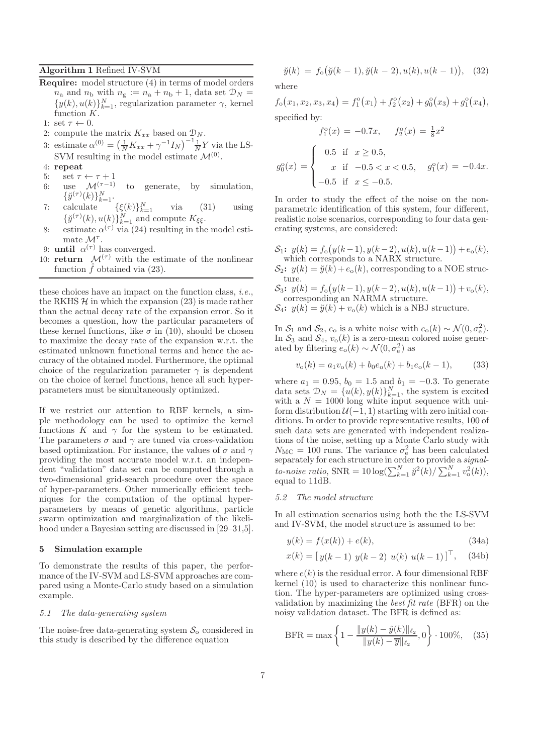#### Algorithm 1 Refined IV-SVM

- Require: model structure (4) in terms of model orders  $n_a$  and  $n_b$  with  $n_g := n_a + n_b + 1$ , data set  $\mathcal{D}_N =$  $\{y(k), u(k)\}_{k=1}^N$ , regularization parameter  $\gamma$ , kernel function  $K$ .
- 1: set  $\tau \leftarrow 0$ .
- 2: compute the matrix  $K_{xx}$  based on  $\mathcal{D}_N$ .
- 3: estimate  $\alpha^{(0)} = \left(\frac{1}{N}K_{xx} + \gamma^{-1}I_N\right)^{-1}\frac{1}{N}Y$  via the LS-SVM resulting in the model estimate  $\mathcal{M}^{(0)}$ .
- 4: repeat
- 5: set  $\tau \leftarrow \tau + 1$
- 6: use  $\mathcal{M}^{(\tau-1)}$  to generate, by simulation,  $\{\breve{y}^{(\tau)}(k)\}_{k=1}^N$ .
- 7: calculate  $\{\xi(k)\}_{k=1}^N$  via (31) using  $\{\check{y}^{(\tau)}(k), u(k)\}_{k=1}^N$  and compute  $K_{\xi\xi}$ .
- 8: estimate  $\alpha^{(\tau)}$  via (24) resulting in the model estimate  $\mathcal{M}^{\tau}$ .
- 9: **until**  $\alpha^{(\tau)}$  has converged.
- 10: **return**  $\mathcal{M}^{(\tau)}$  with the estimate of the nonlinear function  $\hat{f}$  obtained via (23).

these choices have an impact on the function class, *i.e.*, the RKHS  $\mathcal H$  in which the expansion (23) is made rather than the actual decay rate of the expansion error. So it becomes a question, how the particular parameters of these kernel functions, like  $\sigma$  in (10), should be chosen to maximize the decay rate of the expansion w.r.t. the estimated unknown functional terms and hence the accuracy of the obtained model. Furthermore, the optimal choice of the regularization parameter  $\gamma$  is dependent on the choice of kernel functions, hence all such hyperparameters must be simultaneously optimized.

If we restrict our attention to RBF kernels, a simple methodology can be used to optimize the kernel functions K and  $\gamma$  for the system to be estimated. The parameters  $\sigma$  and  $\gamma$  are tuned via cross-validation based optimization. For instance, the values of  $\sigma$  and  $\gamma$ providing the most accurate model w.r.t. an independent "validation" data set can be computed through a two-dimensional grid-search procedure over the space of hyper-parameters. Other numerically efficient techniques for the computation of the optimal hyperparameters by means of genetic algorithms, particle swarm optimization and marginalization of the likelihood under a Bayesian setting are discussed in [29–31,5].

#### 5 Simulation example

To demonstrate the results of this paper, the performance of the IV-SVM and LS-SVM approaches are compared using a Monte-Carlo study based on a simulation example.

#### *5.1 The data-generating system*

The noise-free data-generating system  $S_0$  considered in this study is described by the difference equation

$$
\breve{y}(k) = f_o(\breve{y}(k-1), \breve{y}(k-2), u(k), u(k-1)), \quad (32)
$$

where

$$
f_o(x_1, x_2, x_3, x_4) = f_1^o(x_1) + f_2^o(x_2) + g_0^o(x_3) + g_1^o(x_4),
$$
  
specified by:

$$
f_1^o(x) = -0.7x, \quad f_2^o(x) = \frac{1}{8}x^2
$$

$$
g_0^o(x) = \begin{cases} 0.5 & \text{if } x \ge 0.5, \\ x & \text{if } -0.5 < x < 0.5, \\ -0.5 & \text{if } x \le -0.5. \end{cases} \quad g_1^o(x) = -0.4x.
$$

In order to study the effect of the noise on the nonparametric identification of this system, four different, realistic noise scenarios, corresponding to four data generating systems, are considered:

- $S_1$ :  $y(k) = f_o(y(k-1), y(k-2), u(k), u(k-1)) + e_o(k),$ which corresponds to a NARX structure.
- $S_2$ :  $y(k) = \breve{y}(k) + e_0(k)$ , corresponding to a NOE structure.
- $S_3$ :  $y(k) = f_o(y(k-1), y(k-2), u(k), u(k-1)) + v_o(k),$ corresponding an NARMA structure.
- $\mathcal{S}_4$ :  $y(k) = \breve{y}(k) + v_o(k)$  which is a NBJ structure.

In  $S_1$  and  $S_2$ ,  $e_o$  is a white noise with  $e_o(k) \sim \mathcal{N}(0, \sigma_e^2)$ . In  $S_3$  and  $S_4$ ,  $v_0(k)$  is a zero-mean colored noise generated by filtering  $e_o(k) \sim \mathcal{N}(0, \sigma_e^2)$  as

$$
v_{o}(k) = a_{1}v_{o}(k) + b_{0}e_{o}(k) + b_{1}e_{o}(k-1), \qquad (33)
$$

where  $a_1 = 0.95$ ,  $b_0 = 1.5$  and  $b_1 = -0.3$ . To generate data sets  $\mathcal{D}_N = \{u(k), y(k)\}_{k=1}^N$ , the system is excited with a  $N = 1000$  long white input sequence with uniform distribution  $U(-1, 1)$  starting with zero initial conditions. In order to provide representative results, 100 of such data sets are generated with independent realizations of the noise, setting up a Monte Carlo study with  $N_{\text{MC}} = 100$  runs. The variance  $\sigma_{\text{e}}^2$  has been calculated separately for each structure in order to provide a *signalto-noise ratio*,  $SNR = 10 \log(\sum_{k=1}^{N} \tilde{y}^{2}(k) / \sum_{k=1}^{N} v_o^{2}(k)),$ equal to 11dB.

#### *5.2 The model structure*

In all estimation scenarios using both the the LS-SVM and IV-SVM, the model structure is assumed to be:

$$
y(k) = f(x(k)) + e(k),
$$
\n(34a)

$$
x(k) = [y(k-1) y(k-2) u(k) u(k-1)]^{\top}, (34b)
$$

where  $e(k)$  is the residual error. A four dimensional RBF kernel (10) is used to characterize this nonlinear function. The hyper-parameters are optimized using crossvalidation by maximizing the *best fit rate* (BFR) on the noisy validation dataset. The BFR is defined as:

$$
BFR = \max\left\{1 - \frac{\|y(k) - \hat{y}(k)\|_{\ell_2}}{\|y(k) - \overline{y}\|_{\ell_2}}, 0\right\} \cdot 100\%,\quad(35)
$$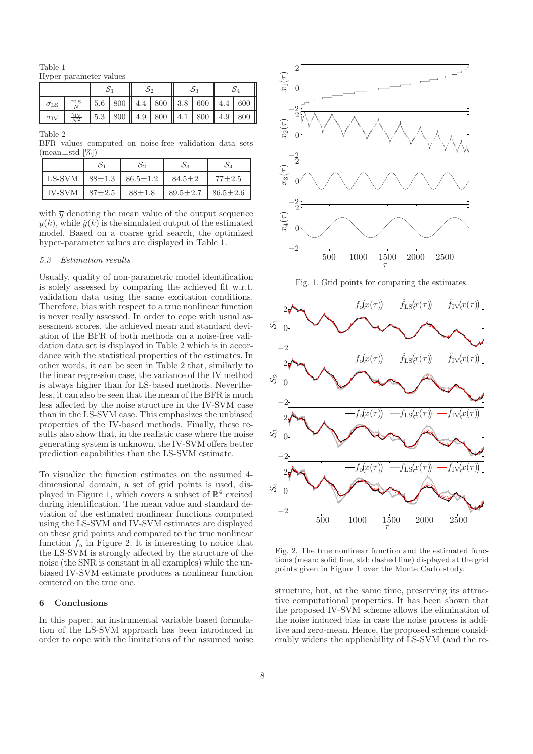Table 1 Hyper-parameter values

| $\sigma$ <sub>LS</sub> |                                                                              |  |  |  |  |  | $\frac{\gamma_{LS}}{N}$   5.6   800    4.4   800    3.8   600    4.4   600 |  |  |
|------------------------|------------------------------------------------------------------------------|--|--|--|--|--|----------------------------------------------------------------------------|--|--|
| $\sigma_{\rm IV}$      | $\frac{21 \text{V}}{N^2}$   5.3   800    4.9   800    4.1   800    4.9   800 |  |  |  |  |  |                                                                            |  |  |

Table 2

BFR values computed on noise-free validation data sets  $(\text{mean} \pm \text{std} [\%])$ 

|        | $\mathcal{S}_1$ | S2                            | $S_3$          |                |
|--------|-----------------|-------------------------------|----------------|----------------|
| LS-SVM |                 | $88 \pm 1.3$   $86.5 \pm 1.2$ | $84.5 \pm 2$   | $77 \pm 2.5$   |
| IV-SVM | $87 + 2.5$      | $88 \pm 1.8$                  | $89.5 \pm 2.7$ | $86.5 \pm 2.6$ |

with  $\overline{y}$  denoting the mean value of the output sequence  $y(k)$ , while  $\hat{y}(k)$  is the simulated output of the estimated model. Based on a coarse grid search, the optimized hyper-parameter values are displayed in Table 1.

#### *5.3 Estimation results*

Usually, quality of non-parametric model identification is solely assessed by comparing the achieved fit w.r.t. validation data using the same excitation conditions. Therefore, bias with respect to a true nonlinear function is never really assessed. In order to cope with usual assessment scores, the achieved mean and standard deviation of the BFR of both methods on a noise-free validation data set is displayed in Table 2 which is in accordance with the statistical properties of the estimates. In other words, it can be seen in Table 2 that, similarly to the linear regression case, the variance of the IV method is always higher than for LS-based methods. Nevertheless, it can also be seen that the mean of the BFR is much less affected by the noise structure in the IV-SVM case than in the LS-SVM case. This emphasizes the unbiased properties of the IV-based methods. Finally, these results also show that, in the realistic case where the noise generating system is unknown, the IV-SVM offers better prediction capabilities than the LS-SVM estimate.

To visualize the function estimates on the assumed 4 dimensional domain, a set of grid points is used, displayed in Figure 1, which covers a subset of  $\mathbb{R}^4$  excited during identification. The mean value and standard deviation of the estimated nonlinear functions computed using the LS-SVM and IV-SVM estimates are displayed on these grid points and compared to the true nonlinear function  $f_0$  in Figure 2. It is interesting to notice that the LS-SVM is strongly affected by the structure of the noise (the SNR is constant in all examples) while the unbiased IV-SVM estimate produces a nonlinear function centered on the true one.

### 6 Conclusions

In this paper, an instrumental variable based formulation of the LS-SVM approach has been introduced in order to cope with the limitations of the assumed noise



Fig. 1. Grid points for comparing the estimates.



Fig. 2. The true nonlinear function and the estimated functions (mean: solid line, std: dashed line) displayed at the grid points given in Figure 1 over the Monte Carlo study.

structure, but, at the same time, preserving its attractive computational properties. It has been shown that the proposed IV-SVM scheme allows the elimination of the noise induced bias in case the noise process is additive and zero-mean. Hence, the proposed scheme considerably widens the applicability of LS-SVM (and the re-